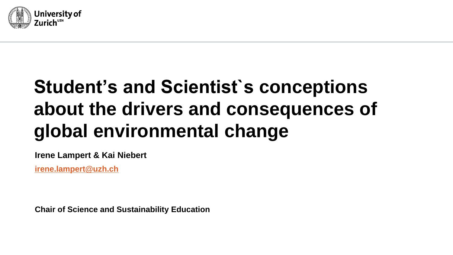

# **Student's and Scientist`s conceptions about the drivers and consequences of global environmental change**

**Irene Lampert & Kai Niebert**

**[irene.lampert@uzh.ch](mailto:Irene.Lampert@uzh.ch)**

**Chair of Science and Sustainability Education**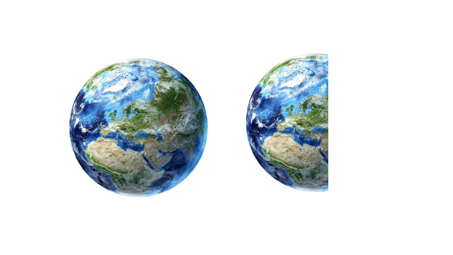

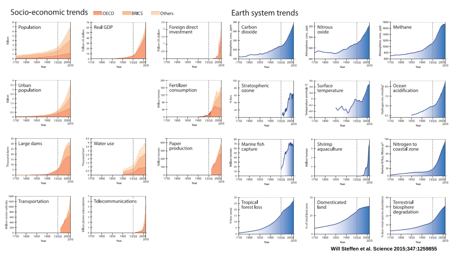

**Will Steffen et al. Science 2015;347:1259855**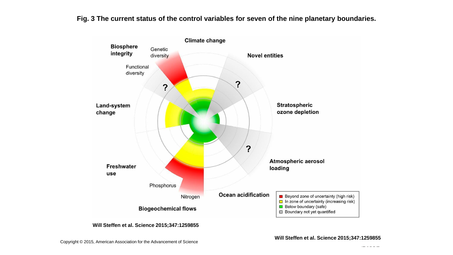**Fig. 3 The current status of the control variables for seven of the nine planetary boundaries.** 



**Will Steffen et al. Science 2015;347:1259855**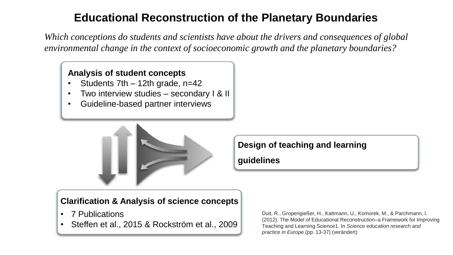### **Educational Reconstruction of the Planetary Boundaries**

*Which conceptions do students and scientists have about the drivers and consequences of global environmental change in the context of socioeconomic growth and the planetary boundaries?* 

#### **Analysis of student concepts**

- Students  $7th 12th$  grade,  $n=42$
- Two interview studies secondary I & II
- Guideline-based partner interviews



**Design of teaching and learning**

**guidelines**

#### **Clarification & Analysis of science concepts**

- 7 Publications
- Steffen et al., 2015 & Rockström et al., 2009

Duit, R., Gropengießer, H., Kattmann, U., Komorek, M., & Parchmann, I. (2012). The Model of Educational Reconstruction–a Framework for Improving Teaching and Learning Science1. In *Science education research and practice in Europe* (pp. 13-37) (verändert)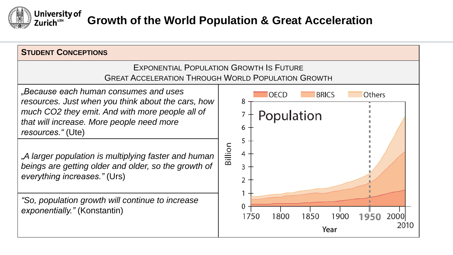

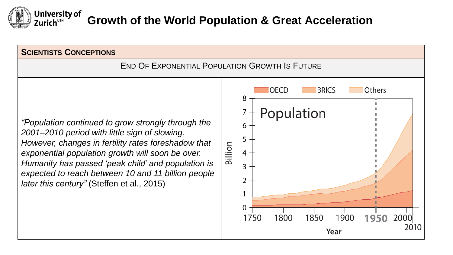

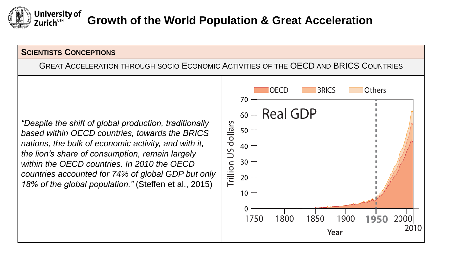

#### **SCIENTISTS CONCEPTIONS**

GREAT ACCELERATION THROUGH SOCIO ECONOMIC ACTIVITIES OF THE OECD AND BRICS COUNTRIES

*"Despite the shift of global production, traditionally based within OECD countries, towards the BRICS nations, the bulk of economic activity, and with it, the lion's share of consumption, remain largely within the OECD countries. In 2010 the OECD countries accounted for 74% of global GDP but only 18% of the global population."* (Steffen et al., 2015)

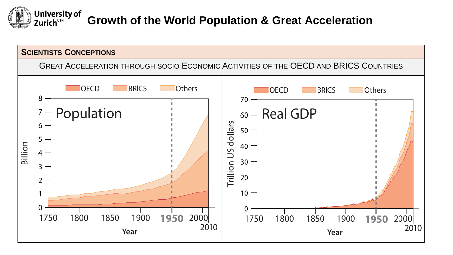

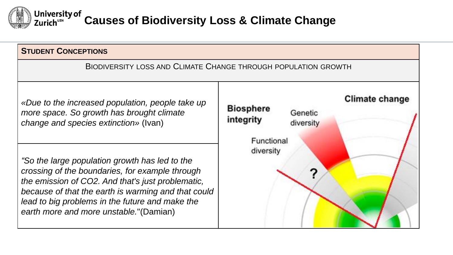

# **Causes of Biodiversity Loss & Climate Change**

| <b>STUDENT CONCEPTIONS</b>                                                                                                                                                                                                                                                                                 |                                                                                              |
|------------------------------------------------------------------------------------------------------------------------------------------------------------------------------------------------------------------------------------------------------------------------------------------------------------|----------------------------------------------------------------------------------------------|
| BIODIVERSITY LOSS AND CLIMATE CHANGE THROUGH POPULATION GROWTH                                                                                                                                                                                                                                             |                                                                                              |
| «Due to the increased population, people take up<br>more space. So growth has brought climate<br>change and species extinction» (Ivan)                                                                                                                                                                     | <b>Climate change</b><br><b>Biosphere</b><br>Genetic<br>integrity<br>diversity<br>Functional |
| "So the large population growth has led to the<br>crossing of the boundaries, for example through<br>the emission of CO2. And that's just problematic,<br>because of that the earth is warming and that could<br>lead to big problems in the future and make the<br>earth more and more unstable."(Damian) | diversity                                                                                    |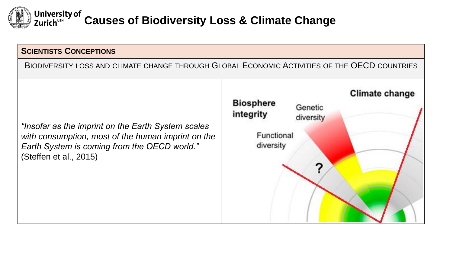

# **Causes of Biodiversity Loss & Climate Change**

#### **SCIENTISTS CONCEPTIONS**

BIODIVERSITY LOSS AND CLIMATE CHANGE THROUGH GLOBAL ECONOMIC ACTIVITIES OF THE OECD COUNTRIES

*"Insofar as the imprint on the Earth System scales with consumption, most of the human imprint on the Earth System is coming from the OECD world."*  (Steffen et al., 2015)

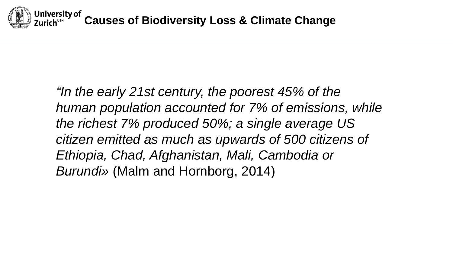

*"In the early 21st century, the poorest 45% of the human population accounted for 7% of emissions, while the richest 7% produced 50%; a single average US citizen emitted as much as upwards of 500 citizens of Ethiopia, Chad, Afghanistan, Mali, Cambodia or Burundi»* (Malm and Hornborg, 2014)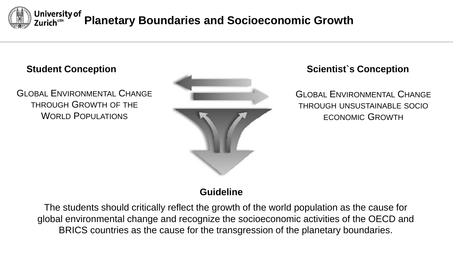

## **Planetary Boundaries and Socioeconomic Growth**

GLOBAL ENVIRONMENTAL CHANGE THROUGH GROWTH OF THE WORLD POPULATIONS



GLOBAL ENVIRONMENTAL CHANGE THROUGH UNSUSTAINABLE SOCIO ECONOMIC GROWTH

#### **Guideline**

The students should critically reflect the growth of the world population as the cause for global environmental change and recognize the socioeconomic activities of the OECD and BRICS countries as the cause for the transgression of the planetary boundaries.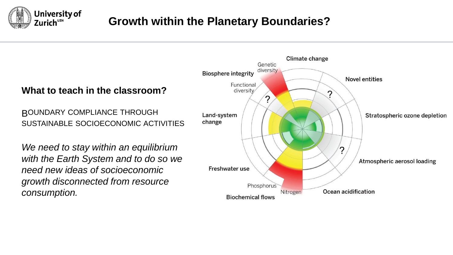

### **Growth within the Planetary Boundaries?**

#### **What to teach in the classroom?**

BOUNDARY COMPLIANCE THROUGH SUSTAINABLE SOCIOECONOMIC ACTIVITIES

*We need to stay within an equilibrium with the Earth System and to do so we need new ideas of socioeconomic growth disconnected from resource consumption.*